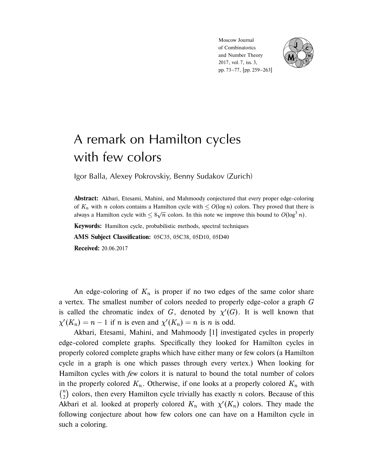Moscow Journal of Combinatorics and Number Theory 2017, vol. 7, iss. 3, pp. 73–77, [pp. 259–263]



## A remark on Hamilton cycles with few colors

Igor Balla, Alexey Pokrovskiy, Benny Sudakov (Zurich)

**Abstract:** Akbari, Etesami, Mahini, and Mahmoody conjectured that every proper edge-coloring of  $K_n$  with n colors contains a Hamilton cycle with  $\leq O(\log n)$  colors. They proved that there is always a Hamilton cycle with  $\leq 8\sqrt{n}$  colors. In this note we improve this bound to  $O(\log^3 n)$ .

**Keywords:** Hamilton cycle, probabilistic methods, spectral techniques

**AMS Subject Classification:** 05C35, 05C38, 05D10, 05D40

**Received:** 20.06.2017

An edge-coloring of  $K_n$  is proper if no two edges of the same color share a vertex. The smallest number of colors needed to properly edge-color a graph G is called the chromatic index of G, denoted by  $\chi'(G)$ . It is well known that  $\chi'(K_n) = n - 1$  if *n* is even and  $\chi'(K_n) = n$  is *n* is odd.

Akbari, Etesami, Mahini, and Mahmoody [1] investigated cycles in properly edge-colored complete graphs. Specifically they looked for Hamilton cycles in properly colored complete graphs which have either many or few colors (a Hamilton cycle in a graph is one which passes through every vertex.) When looking for Hamilton cycles with *few* colors it is natural to bound the total number of colors in the properly colored  $K_n$ . Otherwise, if one looks at a properly colored  $K_n$  with  $\binom{n}{2}$  colors, then every Hamilton cycle trivially has exactly *n* colors. Because of this Akbari et al. looked at properly colored  $K_n$  with  $\chi'(K_n)$  colors. They made the following conjecture about how few colors one can have on a Hamilton cycle in such a coloring.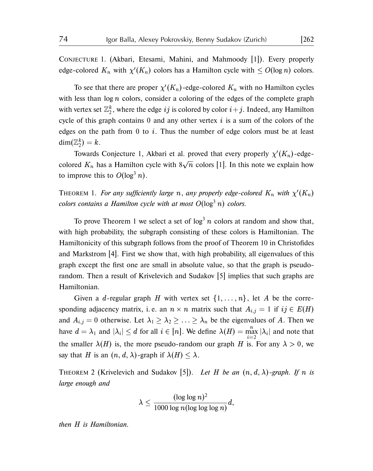Conjecture 1. (Akbari, Etesami, Mahini, and Mahmoody [1]). Every properly edge-colored  $K_n$  with  $\chi'(K_n)$  colors has a Hamilton cycle with  $\leq O(\log n)$  colors.

To see that there are proper  $\chi'(K_n)$ -edge-colored  $K_n$  with no Hamilton cycles with less than  $log n$  colors, consider a coloring of the edges of the complete graph with vertex set  $\mathbb{Z}_2^k$ , where the edge  $ij$  is colored by color  $i+j.$  Indeed, any Hamilton cycle of this graph contains  $0$  and any other vertex  $i$  is a sum of the colors of the edges on the path from  $\theta$  to  $i$ . Thus the number of edge colors must be at least  $\dim(\mathbb{Z}_2^k)=k.$ 

Towards Conjecture 1, Akbari et al. proved that every properly  $\chi'(K_n)$ -edgecolored  $K_n$  has a Hamilton cycle with  $8\sqrt{n}$  colors [1]. In this note we explain how to improve this to  $O(\log^3 n)$ .

THEOREM 1. *For any sufficiently large* n, any properly edge-colored  $K_n$  with  $\chi'(K_n)$  $colors$  *colors contains a Hamilton cycle with at most*  $O(log<sup>3</sup> n)$  *colors.* 

To prove Theorem 1 we select a set of  $\log^3 n$  colors at random and show that, with high probability, the subgraph consisting of these colors is Hamiltonian. The Hamiltonicity of this subgraph follows from the proof of Theorem 10 in Christofides and Markstrom [4]. First we show that, with high probability, all eigenvalues of this graph except the first one are small in absolute value, so that the graph is pseudorandom. Then a result of Krivelevich and Sudakov [5] implies that such graphs are Hamiltonian.

Given a d-regular graph H with vertex set  $\{1, \ldots, n\}$ , let A be the corresponding adjacency matrix, i.e. an  $n \times n$  matrix such that  $A_{i,j} = 1$  if  $ij \in E(H)$ and  $A_{i,j} = 0$  otherwise. Let  $\lambda_1 \geq \lambda_2 \geq \ldots \geq \lambda_n$  be the eigenvalues of A. Then we have  $d = \lambda_1$  and  $|\lambda_i| \le d$  for all  $i \in [n]$ . We define  $\lambda(H) = \max_{i=2}^n |\lambda_i|$  and note that the smaller  $\lambda(H)$  is, the more pseudo-random our graph H is. For any  $\lambda > 0$ , we say that H is an  $(n, d, \lambda)$ -graph if  $\lambda(H) \leq \lambda$ .

THEOREM 2 (Krivelevich and Sudakov [5]). *Let* H *be an*  $(n, d, \lambda)$ -graph. If n is *large enough and*

$$
\lambda \leq \frac{(\log\log n)^2}{1000\log n(\log\log\log n)}d,
$$

*then* H *is Hamiltonian.*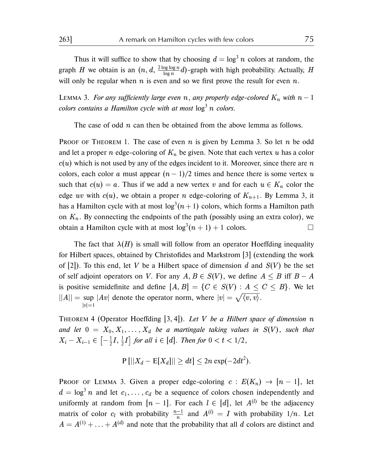Thus it will suffice to show that by choosing  $d = \log^3 n$  colors at random, the graph H we obtain is an  $(n, d, \frac{2 \log \log n}{\log n})$  $\frac{\log \log n}{\log n}$ d)-graph with high probability. Actually, H will only be regular when  $n$  is even and so we first prove the result for even  $n$ .

LEMMA 3. *For any sufficiently large even* n, any properly edge-colored  $K_n$  with  $n-1$ *colors contains a Hamilton cycle with at most*  $\log^3 n$  *colors.* 

The case of odd *n* can then be obtained from the above lemma as follows.

**PROOF OF THEOREM 1. The case of even n is given by Lemma 3. So let n be odd** and let a proper n edge-coloring of  $K_n$  be given. Note that each vertex u has a color  $c(u)$  which is not used by any of the edges incident to it. Moreover, since there are n colors, each color a must appear  $(n - 1)/2$  times and hence there is some vertex u such that  $c(u) = a$ . Thus if we add a new vertex v and for each  $u \in K_n$  color the edge uv with  $c(u)$ , we obtain a proper n edge-coloring of  $K_{n+1}$ . By Lemma 3, it has a Hamilton cycle with at most  $\log^3(n+1)$  colors, which forms a Hamilton path on  $K_n$ . By connecting the endpoints of the path (possibly using an extra color), we obtain a Hamilton cycle with at most  $\log^3(n+1) + 1$  colors.

The fact that  $\lambda(H)$  is small will follow from an operator Hoeffding inequality for Hilbert spaces, obtained by Christofides and Markstrom [3] (extending the work of [2]). To this end, let V be a Hilbert space of dimension d and  $S(V)$  be the set of self adjoint operators on V. For any  $A, B \in S(V)$ , we define  $A \leq B$  iff  $B - A$ is positive semidefinite and define  $[A, B] = \{C \in S(V) : A \le C \le B\}$ . We let  $||A|| = \sup$  $|v|=1$ |Av| denote the operator norm, where  $|v| = \sqrt{\langle v, v \rangle}$ .

Theorem 4 (Operator Hoeffding [3, 4]). *Let* V *be a Hilbert space of dimension* n and let  $0 = X_0, X_1, \ldots, X_d$  *be a martingale taking values in*  $S(V)$ *, such that*  $X_i - X_{i-1} \in \left[ -\frac{1}{2} \right]$  $\frac{1}{2}I, \frac{1}{2}$  $\frac{1}{2}I$  *for all*  $i \in [d]$ *. Then for*  $0 < t < 1/2$ *,* 

$$
P[||X_d - E[X_d]|| \ge dt] \le 2n \exp(-2dt^2).
$$

PROOF OF LEMMA 3. Given a proper edge-coloring  $c : E(K_n) \rightarrow [n-1]$ , let  $d = \log^3 n$  and let  $c_1, \ldots, c_d$  be a sequence of colors chosen independently and uniformly at random from  $[n-1]$ . For each  $l \in [d]$ , let  $A^{(l)}$  be the adjacency matrix of color  $c_l$  with probability  $\frac{n-1}{n}$  and  $A^{(l)} = I$  with probability  $1/n$ . Let  $A = A^{(1)} + \ldots + A^{(d)}$  and note that the probability that all d colors are distinct and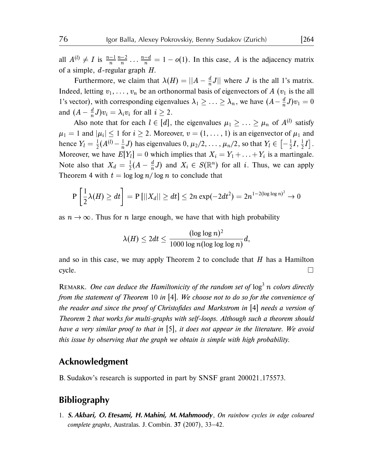all  $A^{(l)} \neq I$  is  $\frac{n-1}{n} \frac{n-2}{n} \dots \frac{n-d}{n} = 1 - o(1)$ . In this case, A is the adjacency matrix of a simple,  $d$ -regular graph  $H$ .

Furthermore, we claim that  $\lambda(H) = ||A - \frac{d}{dt}\lambda||$  $\frac{a}{n}J$  where J is the all 1's matrix. Indeed, letting  $v_1, \ldots, v_n$  be an orthonormal basis of eigenvectors of A ( $v_1$  is the all 1's vector), with corresponding eigenvalues  $\lambda_1 \geq \ldots \geq \lambda_n$ , we have  $(A - \frac{d}{n})$  $\frac{a}{n}J)v_1=0$ and  $(A - \frac{d}{n})$  $\frac{a}{n}J)v_i = \lambda_i v_i$  for all  $i \geq 2$ .

Also note that for each  $l \in [d]$ , the eigenvalues  $\mu_1 \geq \ldots \geq \mu_n$  of  $A^{(l)}$  satisfy  $\mu_1 = 1$  and  $|\mu_i| \leq 1$  for  $i \geq 2$ . Moreover,  $v = (1, \ldots, 1)$  is an eigenvector of  $\mu_1$  and hence  $Y_l = \frac{1}{2}$  $\frac{1}{2}(A^{(l)} - \frac{1}{n}$  $\frac{1}{n}$ J) has eigenvalues  $0, \mu_2/2, \ldots, \mu_n/2$ , so that  $Y_l \in \bigl[-\frac{1}{2}$  $\frac{1}{2}I, \frac{1}{2}$  $\frac{1}{2}I$ . Moreover, we have  $E[Y_l] = 0$  which implies that  $X_i = Y_1 + \ldots + Y_i$  is a martingale. Note also that  $X_d = \frac{1}{2}$  $\frac{1}{2}(A - \frac{d}{n})$  $\frac{d}{n}J$ ) and  $X_i \in S(\mathbb{R}^n)$  for all i. Thus, we can apply Theorem 4 with  $t = \log \log n / \log n$  to conclude that

$$
\mathrm{P}\left[\frac{1}{2}\lambda(H)\geq dt\right]=\mathrm{P}\left[\left|\left|X_d\right|\right|\geq dt\right]\leq 2n\exp(-2dt^2)=2n^{1-2(\log\log n)^2}\rightarrow 0
$$

as  $n \to \infty$ . Thus for n large enough, we have that with high probability

$$
\lambda(H) \leq 2dt \leq \frac{(\log \log n)^2}{1000 \log n (\log \log \log n)} d,
$$

and so in this case, we may apply Theorem 2 to conclude that  $H$  has a Hamilton  $\Box$ 

REMARK. One can deduce the Hamiltonicity of the random set of  $\log^3 n$  colors directly *from the statement of Theorem 10 in* [4]*. We choose not to do so for the convenience of the reader and since the proof of Christofides and Markstrom in* [4] *needs a version of Theorem 2 that works for multi-graphs with self-loops. Although such a theorem should have a very similar proof to that in* [5]*, it does not appear in the literature. We avoid this issue by observing that the graph we obtain is simple with high probability.*

## **Acknowledgment**

B. Sudakov's research is supported in part by SNSF grant 200021 175573.

## **Bibliography**

1. **S. Akbari, O. Etesami, H. Mahini, M. Mahmoody**, *On rainbow cycles in edge coloured complete graphs*, Australas. J. Combin. **37** (2007), 33–42.